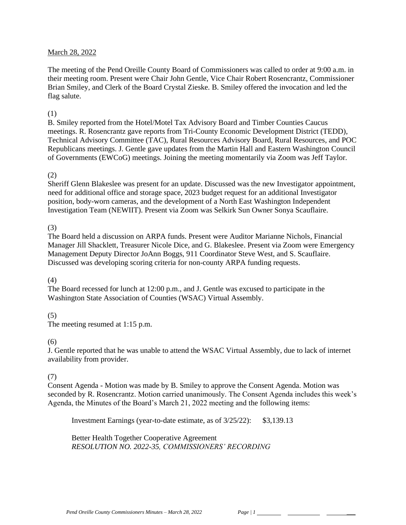### March 28, 2022

The meeting of the Pend Oreille County Board of Commissioners was called to order at 9:00 a.m. in their meeting room. Present were Chair John Gentle, Vice Chair Robert Rosencrantz, Commissioner Brian Smiley, and Clerk of the Board Crystal Zieske. B. Smiley offered the invocation and led the flag salute.

### (1)

B. Smiley reported from the Hotel/Motel Tax Advisory Board and Timber Counties Caucus meetings. R. Rosencrantz gave reports from Tri-County Economic Development District (TEDD), Technical Advisory Committee (TAC), Rural Resources Advisory Board, Rural Resources, and POC Republicans meetings. J. Gentle gave updates from the Martin Hall and Eastern Washington Council of Governments (EWCoG) meetings. Joining the meeting momentarily via Zoom was Jeff Taylor.

### (2)

Sheriff Glenn Blakeslee was present for an update. Discussed was the new Investigator appointment, need for additional office and storage space, 2023 budget request for an additional Investigator position, body-worn cameras, and the development of a North East Washington Independent Investigation Team (NEWIIT). Present via Zoom was Selkirk Sun Owner Sonya Scauflaire.

### (3)

The Board held a discussion on ARPA funds. Present were Auditor Marianne Nichols, Financial Manager Jill Shacklett, Treasurer Nicole Dice, and G. Blakeslee. Present via Zoom were Emergency Management Deputy Director JoAnn Boggs, 911 Coordinator Steve West, and S. Scauflaire. Discussed was developing scoring criteria for non-county ARPA funding requests.

#### (4)

The Board recessed for lunch at 12:00 p.m., and J. Gentle was excused to participate in the Washington State Association of Counties (WSAC) Virtual Assembly.

## (5)

The meeting resumed at 1:15 p.m.

## $(6)$

J. Gentle reported that he was unable to attend the WSAC Virtual Assembly, due to lack of internet availability from provider.

## (7)

Consent Agenda - Motion was made by B. Smiley to approve the Consent Agenda. Motion was seconded by R. Rosencrantz. Motion carried unanimously. The Consent Agenda includes this week's Agenda, the Minutes of the Board's March 21, 2022 meeting and the following items:

Investment Earnings (year-to-date estimate, as of 3/25/22): \$3,139.13

Better Health Together Cooperative Agreement *RESOLUTION NO. 2022-35, COMMISSIONERS' RECORDING*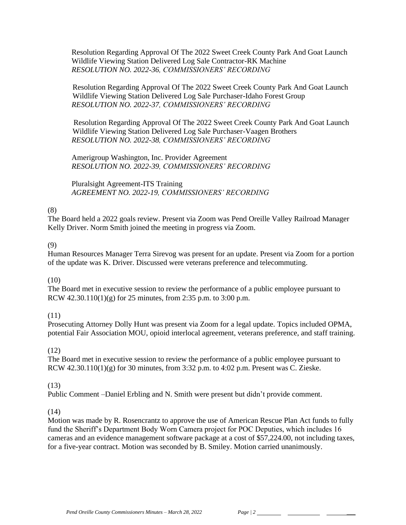Resolution Regarding Approval Of The 2022 Sweet Creek County Park And Goat Launch Wildlife Viewing Station Delivered Log Sale Contractor-RK Machine *RESOLUTION NO. 2022-36, COMMISSIONERS' RECORDING* 

 Resolution Regarding Approval Of The 2022 Sweet Creek County Park And Goat Launch Wildlife Viewing Station Delivered Log Sale Purchaser-Idaho Forest Group *RESOLUTION NO. 2022-37, COMMISSIONERS' RECORDING* 

Resolution Regarding Approval Of The 2022 Sweet Creek County Park And Goat Launch Wildlife Viewing Station Delivered Log Sale Purchaser-Vaagen Brothers *RESOLUTION NO. 2022-38, COMMISSIONERS' RECORDING* 

Amerigroup Washington, Inc. Provider Agreement *RESOLUTION NO. 2022-39, COMMISSIONERS' RECORDING* 

Pluralsight Agreement-ITS Training *AGREEMENT NO. 2022-19, COMMISSIONERS' RECORDING*

### (8)

The Board held a 2022 goals review. Present via Zoom was Pend Oreille Valley Railroad Manager Kelly Driver. Norm Smith joined the meeting in progress via Zoom.

### (9)

Human Resources Manager Terra Sirevog was present for an update. Present via Zoom for a portion of the update was K. Driver. Discussed were veterans preference and telecommuting.

#### (10)

The Board met in executive session to review the performance of a public employee pursuant to RCW 42.30.110(1)(g) for 25 minutes, from 2:35 p.m. to 3:00 p.m.

## (11)

Prosecuting Attorney Dolly Hunt was present via Zoom for a legal update. Topics included OPMA, potential Fair Association MOU, opioid interlocal agreement, veterans preference, and staff training.

## (12)

The Board met in executive session to review the performance of a public employee pursuant to RCW 42.30.110(1)(g) for 30 minutes, from 3:32 p.m. to 4:02 p.m. Present was C. Zieske.

## (13)

Public Comment –Daniel Erbling and N. Smith were present but didn't provide comment.

## (14)

Motion was made by R. Rosencrantz to approve the use of American Rescue Plan Act funds to fully fund the Sheriff's Department Body Worn Camera project for POC Deputies, which includes 16 cameras and an evidence management software package at a cost of \$57,224.00, not including taxes, for a five-year contract. Motion was seconded by B. Smiley. Motion carried unanimously.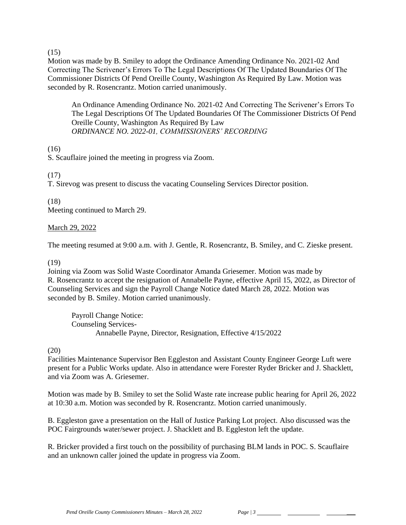$(15)$ 

Motion was made by B. Smiley to adopt the Ordinance Amending Ordinance No. 2021-02 And Correcting The Scrivener's Errors To The Legal Descriptions Of The Updated Boundaries Of The Commissioner Districts Of Pend Oreille County, Washington As Required By Law. Motion was seconded by R. Rosencrantz. Motion carried unanimously.

An Ordinance Amending Ordinance No. 2021-02 And Correcting The Scrivener's Errors To The Legal Descriptions Of The Updated Boundaries Of The Commissioner Districts Of Pend Oreille County, Washington As Required By Law *ORDINANCE NO. 2022-01, COMMISSIONERS' RECORDING* 

(16)

S. Scauflaire joined the meeting in progress via Zoom.

# (17)

T. Sirevog was present to discuss the vacating Counseling Services Director position.

## (18)

Meeting continued to March 29.

## March 29, 2022

The meeting resumed at 9:00 a.m. with J. Gentle, R. Rosencrantz, B. Smiley, and C. Zieske present.

## (19)

Joining via Zoom was Solid Waste Coordinator Amanda Griesemer. Motion was made by R. Rosencrantz to accept the resignation of Annabelle Payne, effective April 15, 2022, as Director of Counseling Services and sign the Payroll Change Notice dated March 28, 2022. Motion was seconded by B. Smiley. Motion carried unanimously.

Payroll Change Notice: Counseling Services-Annabelle Payne, Director, Resignation, Effective 4/15/2022

## (20)

Facilities Maintenance Supervisor Ben Eggleston and Assistant County Engineer George Luft were present for a Public Works update. Also in attendance were Forester Ryder Bricker and J. Shacklett, and via Zoom was A. Griesemer.

Motion was made by B. Smiley to set the Solid Waste rate increase public hearing for April 26, 2022 at 10:30 a.m. Motion was seconded by R. Rosencrantz. Motion carried unanimously.

B. Eggleston gave a presentation on the Hall of Justice Parking Lot project. Also discussed was the POC Fairgrounds water/sewer project. J. Shacklett and B. Eggleston left the update.

R. Bricker provided a first touch on the possibility of purchasing BLM lands in POC. S. Scauflaire and an unknown caller joined the update in progress via Zoom.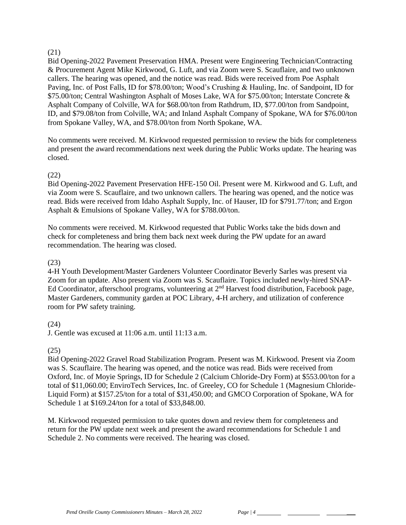### (21)

Bid Opening-2022 Pavement Preservation HMA. Present were Engineering Technician/Contracting & Procurement Agent Mike Kirkwood, G. Luft, and via Zoom were S. Scauflaire, and two unknown callers. The hearing was opened, and the notice was read. Bids were received from Poe Asphalt Paving, Inc. of Post Falls, ID for \$78.00/ton; Wood's Crushing & Hauling, Inc. of Sandpoint, ID for \$75.00/ton; Central Washington Asphalt of Moses Lake, WA for \$75.00/ton; Interstate Concrete & Asphalt Company of Colville, WA for \$68.00/ton from Rathdrum, ID, \$77.00/ton from Sandpoint, ID, and \$79.08/ton from Colville, WA; and Inland Asphalt Company of Spokane, WA for \$76.00/ton from Spokane Valley, WA, and \$78.00/ton from North Spokane, WA.

No comments were received. M. Kirkwood requested permission to review the bids for completeness and present the award recommendations next week during the Public Works update. The hearing was closed.

## (22)

Bid Opening-2022 Pavement Preservation HFE-150 Oil. Present were M. Kirkwood and G. Luft, and via Zoom were S. Scauflaire, and two unknown callers. The hearing was opened, and the notice was read. Bids were received from Idaho Asphalt Supply, Inc. of Hauser, ID for \$791.77/ton; and Ergon Asphalt & Emulsions of Spokane Valley, WA for \$788.00/ton.

No comments were received. M. Kirkwood requested that Public Works take the bids down and check for completeness and bring them back next week during the PW update for an award recommendation. The hearing was closed.

## (23)

4-H Youth Development/Master Gardeners Volunteer Coordinator Beverly Sarles was present via Zoom for an update. Also present via Zoom was S. Scauflaire. Topics included newly-hired SNAP-Ed Coordinator, afterschool programs, volunteering at 2<sup>nd</sup> Harvest food distribution, Facebook page, Master Gardeners, community garden at POC Library, 4-H archery, and utilization of conference room for PW safety training.

## (24)

J. Gentle was excused at 11:06 a.m. until 11:13 a.m.

## (25)

Bid Opening-2022 Gravel Road Stabilization Program. Present was M. Kirkwood. Present via Zoom was S. Scauflaire. The hearing was opened, and the notice was read. Bids were received from Oxford, Inc. of Moyie Springs, ID for Schedule 2 (Calcium Chloride-Dry Form) at \$553.00/ton for a total of \$11,060.00; EnviroTech Services, Inc. of Greeley, CO for Schedule 1 (Magnesium Chloride-Liquid Form) at \$157.25/ton for a total of \$31,450.00; and GMCO Corporation of Spokane, WA for Schedule 1 at \$169.24/ton for a total of \$33,848.00.

M. Kirkwood requested permission to take quotes down and review them for completeness and return for the PW update next week and present the award recommendations for Schedule 1 and Schedule 2. No comments were received. The hearing was closed.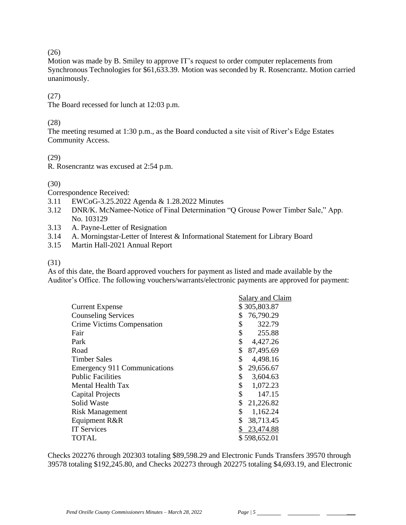### $(26)$

Motion was made by B. Smiley to approve IT's request to order computer replacements from Synchronous Technologies for \$61,633.39. Motion was seconded by R. Rosencrantz. Motion carried unanimously.

## (27)

The Board recessed for lunch at 12:03 p.m.

# (28)

The meeting resumed at 1:30 p.m., as the Board conducted a site visit of River's Edge Estates Community Access.

(29)

R. Rosencrantz was excused at 2:54 p.m.

## (30)

Correspondence Received:

- 3.11 EWCoG-3.25.2022 Agenda & 1.28.2022 Minutes
- 3.12 DNR/K. McNamee-Notice of Final Determination "Q Grouse Power Timber Sale," App. No. 103129
- 3.13 A. Payne-Letter of Resignation
- 3.14 A. Morningstar-Letter of Interest & Informational Statement for Library Board
- 3.15 Martin Hall-2021 Annual Report

## (31)

As of this date, the Board approved vouchers for payment as listed and made available by the Auditor's Office. The following vouchers/warrants/electronic payments are approved for payment:

|                                     | Salary and Claim |
|-------------------------------------|------------------|
| <b>Current Expense</b>              | \$305,803.87     |
| <b>Counseling Services</b>          | 76,790.29<br>\$  |
| Crime Victims Compensation          | \$<br>322.79     |
| Fair                                | \$<br>255.88     |
| Park                                | \$<br>4,427.26   |
| Road                                | \$<br>87,495.69  |
| <b>Timber Sales</b>                 | \$<br>4,498.16   |
| <b>Emergency 911 Communications</b> | \$<br>29,656.67  |
| <b>Public Facilities</b>            | \$<br>3,604.63   |
| Mental Health Tax                   | \$<br>1,072.23   |
| <b>Capital Projects</b>             | \$<br>147.15     |
| Solid Waste                         | \$<br>21,226.82  |
| <b>Risk Management</b>              | \$<br>1,162.24   |
| Equipment R&R                       | \$<br>38,713.45  |
| <b>IT Services</b>                  | 23,474.88        |
| <b>TOTAL</b>                        | \$598,652.01     |
|                                     |                  |

Checks 202276 through 202303 totaling \$89,598.29 and Electronic Funds Transfers 39570 through 39578 totaling \$192,245.80, and Checks 202273 through 202275 totaling \$4,693.19, and Electronic